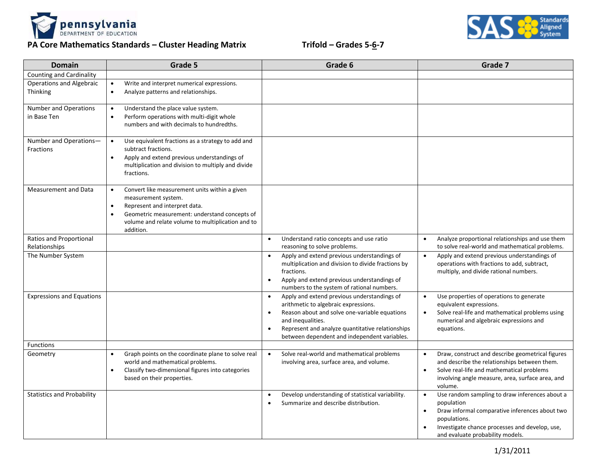

## **PA Core Mathematics Standards – Cluster Heading Matrix Trifold – Grades 5-6-7**



| <b>Domain</b>                                      | Grade 5                                                                                                                                                                                                                                                         | Grade 6                                                                                                                                                                                                                                                                                 | Grade 7                                                                                                                                                                                                                                        |
|----------------------------------------------------|-----------------------------------------------------------------------------------------------------------------------------------------------------------------------------------------------------------------------------------------------------------------|-----------------------------------------------------------------------------------------------------------------------------------------------------------------------------------------------------------------------------------------------------------------------------------------|------------------------------------------------------------------------------------------------------------------------------------------------------------------------------------------------------------------------------------------------|
| <b>Counting and Cardinality</b>                    |                                                                                                                                                                                                                                                                 |                                                                                                                                                                                                                                                                                         |                                                                                                                                                                                                                                                |
| <b>Operations and Algebraic</b><br><b>Thinking</b> | Write and interpret numerical expressions.<br>$\bullet$<br>Analyze patterns and relationships.<br>$\bullet$                                                                                                                                                     |                                                                                                                                                                                                                                                                                         |                                                                                                                                                                                                                                                |
| <b>Number and Operations</b><br>in Base Ten        | Understand the place value system.<br>$\bullet$<br>Perform operations with multi-digit whole<br>$\bullet$<br>numbers and with decimals to hundredths.                                                                                                           |                                                                                                                                                                                                                                                                                         |                                                                                                                                                                                                                                                |
| Number and Operations-<br>Fractions                | Use equivalent fractions as a strategy to add and<br>$\bullet$<br>subtract fractions.<br>Apply and extend previous understandings of<br>$\bullet$<br>multiplication and division to multiply and divide<br>fractions.                                           |                                                                                                                                                                                                                                                                                         |                                                                                                                                                                                                                                                |
| <b>Measurement and Data</b>                        | Convert like measurement units within a given<br>$\bullet$<br>measurement system.<br>Represent and interpret data.<br>$\bullet$<br>Geometric measurement: understand concepts of<br>$\bullet$<br>volume and relate volume to multiplication and to<br>addition. |                                                                                                                                                                                                                                                                                         |                                                                                                                                                                                                                                                |
| Ratios and Proportional<br>Relationships           |                                                                                                                                                                                                                                                                 | Understand ratio concepts and use ratio<br>$\bullet$<br>reasoning to solve problems.                                                                                                                                                                                                    | Analyze proportional relationships and use them<br>$\bullet$<br>to solve real-world and mathematical problems.                                                                                                                                 |
| The Number System                                  |                                                                                                                                                                                                                                                                 | Apply and extend previous understandings of<br>$\bullet$<br>multiplication and division to divide fractions by<br>fractions.<br>Apply and extend previous understandings of<br>$\bullet$<br>numbers to the system of rational numbers.                                                  | Apply and extend previous understandings of<br>$\bullet$<br>operations with fractions to add, subtract,<br>multiply, and divide rational numbers.                                                                                              |
| <b>Expressions and Equations</b>                   |                                                                                                                                                                                                                                                                 | Apply and extend previous understandings of<br>$\bullet$<br>arithmetic to algebraic expressions.<br>Reason about and solve one-variable equations<br>and inequalities.<br>Represent and analyze quantitative relationships<br>$\bullet$<br>between dependent and independent variables. | Use properties of operations to generate<br>$\bullet$<br>equivalent expressions.<br>Solve real-life and mathematical problems using<br>$\bullet$<br>numerical and algebraic expressions and<br>equations.                                      |
| <b>Functions</b>                                   |                                                                                                                                                                                                                                                                 |                                                                                                                                                                                                                                                                                         |                                                                                                                                                                                                                                                |
| Geometry                                           | Graph points on the coordinate plane to solve real<br>$\bullet$<br>world and mathematical problems.<br>Classify two-dimensional figures into categories<br>$\bullet$<br>based on their properties.                                                              | Solve real-world and mathematical problems<br>$\bullet$<br>involving area, surface area, and volume.                                                                                                                                                                                    | Draw, construct and describe geometrical figures<br>$\bullet$<br>and describe the relationships between them.<br>Solve real-life and mathematical problems<br>$\bullet$<br>involving angle measure, area, surface area, and<br>volume.         |
| <b>Statistics and Probability</b>                  |                                                                                                                                                                                                                                                                 | Develop understanding of statistical variability.<br>$\bullet$<br>Summarize and describe distribution.                                                                                                                                                                                  | Use random sampling to draw inferences about a<br>$\bullet$<br>population<br>Draw informal comparative inferences about two<br>$\bullet$<br>populations.<br>Investigate chance processes and develop, use,<br>and evaluate probability models. |